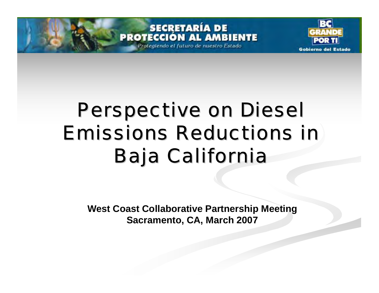Protegiendo el futuro de nuestro Estado



## Perspective on Diesel **Emissions Reductions in Baja California**

**West Coast Collaborative Partnership Meeting Sacramento, CA, March 2007**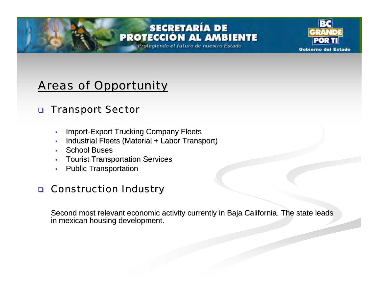Protegiendo el futuro de nuestro Estado



### Areas of Opportunity Areas of Opportunity

#### $\Box$ **Transport Sector**

- $\overline{\phantom{a}}$ **Import-Export Trucking Company Fleets**
- $\mathbf{r}$ Industrial Fleets (Material + Labor Transport)
- г • School Buses
- $\blacksquare$ **Tourist Transportation Services**
- $\overline{\phantom{a}}$ **Public Transportation**

#### $\Box$ **Construction Industry**

Second most relevant economic activity currently in Baja California. The state leads in mexican housing development.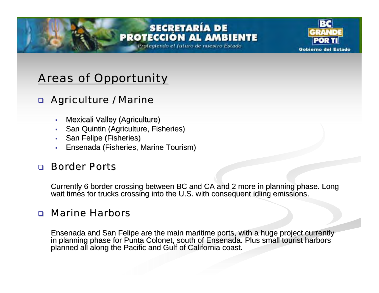Protegiendo el futuro de nuestro Estado



### Areas of Opportunity Areas of Opportunity

### **n Agriculture / Marine**

- $\mathbf{r}$ Mexicali Valley (Agriculture)
- $\mathbf{r}$ San Quintin (Agriculture, Fisheries)
- ٠ San Felipe (Fisheries)
- $\mathbf{r}$ Ensenada (Fisheries, Marine Tourism) Ensenada (Fisheries, Marine Tourism)

### a Border Ports

Currently 6 border crossing between BC and CA and 2 more in planning phase. Long wait times for trucks crossing into the U.S. with consequent idling emissions.

#### $\Box$ **Marine Harbors**

Ensenada and San Felipe are the main maritime ports, with a huge project currently in planning phase for Punta Colonet, south of Ensenada. Plus small tourist harbors planned all along the Pacific and Gulf of California coa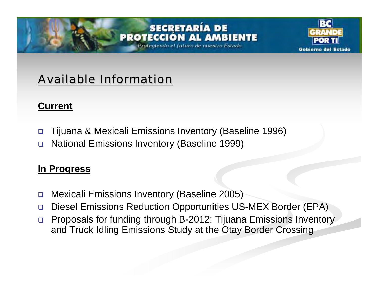#### **SECRETARÍA DE** PROTECCIÓN MRIENTE

Protegiendo el futuro de nuestro Estado



### **Available Information**

### **Current**

- $\Box$ Tijuana & Mexicali Emissions Inventory (Baseline 1996)
- $\Box$ National Emissions Inventory (Baseline 1999)

### **In Progress**

- $\Box$ Mexicali Emissions Inventory (Baseline 2005)
- $\Box$ Diesel Emissions Reduction Opportunities US-MEX Border (EPA)
- $\Box$  Proposals for funding through B-2012: Tijuana Emissions Inventory and Truck Idling Emissions Study at the Otay Border Crossing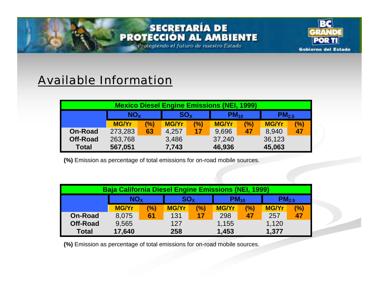Protegiendo el futuro de nuestro Estado



### **Available Information**

| <b>Mexico Diesel Engine Emissions (NEI, 1999)</b> |                       |     |              |                 |              |     |                   |     |  |  |  |  |
|---------------------------------------------------|-----------------------|-----|--------------|-----------------|--------------|-----|-------------------|-----|--|--|--|--|
|                                                   | <b>NO<sub>x</sub></b> |     | $SO_{X}$     |                 | $PM_{10}$    |     | PM <sub>2.5</sub> |     |  |  |  |  |
|                                                   | <b>MG/Yr</b>          | (%) | <b>MG/Yr</b> | (%)             | <b>MG/Yr</b> | (%) | <b>MG/Yr</b>      | (%) |  |  |  |  |
| <b>On-Road</b>                                    | 273,283               | 63  | 4,257        | $\overline{17}$ | 9,696        | 47  | 8,940             | 47  |  |  |  |  |
| <b>Off-Road</b>                                   | 263,768               |     | 3,486        |                 | 37,240       |     | 36,123            |     |  |  |  |  |
| <b>Total</b>                                      | 567,051               |     | 7,743        |                 | 46,936       |     | 45,063            |     |  |  |  |  |

**(%)** Emission as percentage of total emissions for on-road mobile sources.

| Baja California Diesel Engine Emissions (NEI, 1999) |                       |     |                 |     |              |     |                   |     |  |  |  |  |
|-----------------------------------------------------|-----------------------|-----|-----------------|-----|--------------|-----|-------------------|-----|--|--|--|--|
|                                                     | <b>NO<sub>x</sub></b> |     | SO <sub>x</sub> |     | $PM_{10}$    |     | PM <sub>2.5</sub> |     |  |  |  |  |
|                                                     | <b>MG/Yr</b>          | (%) | <b>MG/Yr</b>    | (%) | <b>MG/Yr</b> | (%) | <b>MG/Yr</b>      | (%) |  |  |  |  |
| <b>On-Road</b>                                      | 8,075                 | 61  | 131             | 17  | 298          | 47  | 257               | 47  |  |  |  |  |
| <b>Off-Road</b>                                     | 9,565                 |     | 127             |     | 1,155        |     | 1,120             |     |  |  |  |  |
| <b>Total</b>                                        | 17,640                |     | 258             |     | 1,453        |     | 1,377             |     |  |  |  |  |

**(%)** Emission as percentage of total emissions for on-road mobile sources.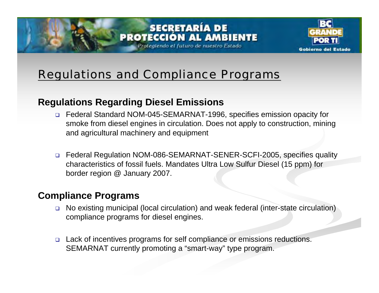#### **SECRETARÍA DE PROTECCIÓN AL AMBIENTE** Protegiendo el futuro de nuestro Estado



### Regulations and Compliance Programs Regulations and Compliance Programs

### **Regulations Regarding Diesel Emissions**

- Federal Standard NOM-045-SEMARNAT-1996, specifies emission opacity for smoke from diesel engines in circulation. Does not apply to construction, mining and agricultural machinery and equipment
- □ Federal Regulation NOM-086-SEMARNAT-SENER-SCFI-2005, specifies quality characteristics of fossil fuels. Mandates Ultra Low Sulfur Diesel (15 ppm) for border region @ January 2007.

### **Compliance Programs**

- $\Box$  No existing municipal (local circulation) and weak federal (inter-state circulation) compliance programs for diesel engines.
- □ Lack of incentives programs for self compliance or emissions reductions. SEMARNAT currently promoting a "smart-way" type program.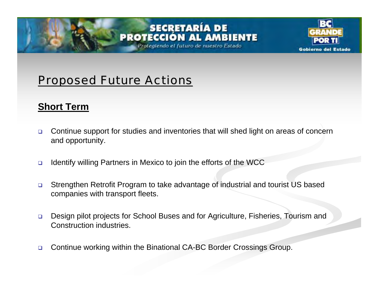Protegiendo el futuro de nuestro Estado



### **Proposed Future Actions**

### **Short Term**

- $\Box$  Continue support for studies and inventories that will shed light on areas of concern and opportunity.
- $\Box$ Identify willing Partners in Mexico to join the efforts of the WCC
- $\Box$  Strengthen Retrofit Program to take advantage of industrial and tourist US based companies with transport fleets.
- $\Box$  Design pilot projects for School Buses and for Agriculture, Fisheries, Tourism and Construction industries.
- $\Box$ Continue working within the Binational CA-BC Border Crossings Group.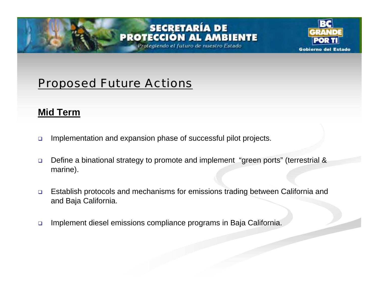Protegiendo el futuro de nuestro Estado



### **Proposed Future Actions**

### **Mid Term**

- $\Box$ Implementation and expansion phase of successful pilot projects.
- $\Box$  Define a binational strategy to promote and implement "green ports" (terrestrial & marine).
- $\Box$  Establish protocols and mechanisms for emissions trading between California and and Baja California.
- $\Box$ Implement diesel emissions compliance programs in Baja California.